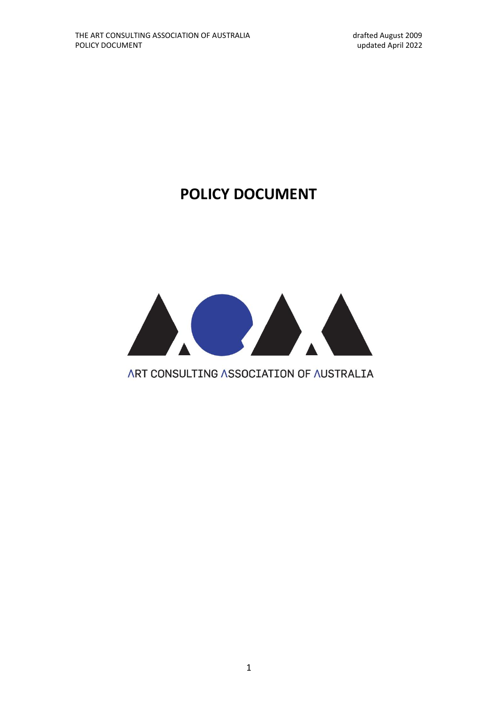# **POLICY DOCUMENT**



# ART CONSULTING ASSOCIATION OF AUSTRALIA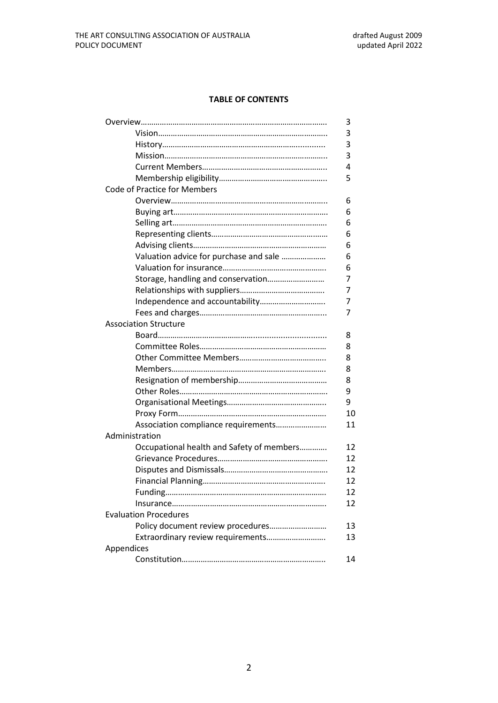# **TABLE OF CONTENTS**

|            |                                           | 3  |
|------------|-------------------------------------------|----|
|            |                                           | 3  |
|            |                                           | 3  |
|            |                                           | 3  |
|            |                                           | 4  |
|            |                                           | 5  |
|            | <b>Code of Practice for Members</b>       |    |
|            |                                           | 6  |
|            |                                           | 6  |
|            |                                           | 6  |
|            |                                           | 6  |
|            |                                           | 6  |
|            | Valuation advice for purchase and sale    | 6  |
|            |                                           | 6  |
|            | Storage, handling and conservation        | 7  |
|            |                                           | 7  |
|            |                                           | 7  |
|            |                                           | 7  |
|            | <b>Association Structure</b>              |    |
|            |                                           | 8  |
|            |                                           | 8  |
|            |                                           | 8  |
|            |                                           | 8  |
|            |                                           | 8  |
|            |                                           | 9  |
|            |                                           | 9  |
|            |                                           | 10 |
|            | Association compliance requirements       | 11 |
|            | Administration                            |    |
|            | Occupational health and Safety of members | 12 |
|            |                                           | 12 |
|            |                                           | 12 |
|            |                                           | 12 |
|            | <b>Funding</b>                            | 12 |
|            |                                           | 12 |
|            | <b>Evaluation Procedures</b>              |    |
|            | Policy document review procedures         | 13 |
|            | Extraordinary review requirements         | 13 |
| Appendices |                                           |    |
|            |                                           | 14 |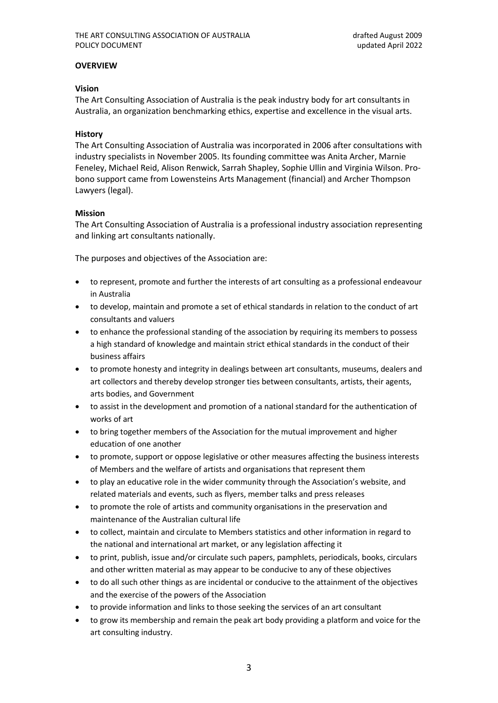# **OVERVIEW**

# **Vision**

The Art Consulting Association of Australia is the peak industry body for art consultants in Australia, an organization benchmarking ethics, expertise and excellence in the visual arts.

# **History**

The Art Consulting Association of Australia was incorporated in 2006 after consultations with industry specialists in November 2005. Its founding committee was Anita Archer, Marnie Feneley, Michael Reid, Alison Renwick, Sarrah Shapley, Sophie Ullin and Virginia Wilson. Probono support came from Lowensteins Arts Management (financial) and Archer Thompson Lawyers (legal).

# **Mission**

The Art Consulting Association of Australia is a professional industry association representing and linking art consultants nationally.

The purposes and objectives of the Association are:

- to represent, promote and further the interests of art consulting as a professional endeavour in Australia
- to develop, maintain and promote a set of ethical standards in relation to the conduct of art consultants and valuers
- to enhance the professional standing of the association by requiring its members to possess a high standard of knowledge and maintain strict ethical standards in the conduct of their business affairs
- to promote honesty and integrity in dealings between art consultants, museums, dealers and art collectors and thereby develop stronger ties between consultants, artists, their agents, arts bodies, and Government
- to assist in the development and promotion of a national standard for the authentication of works of art
- to bring together members of the Association for the mutual improvement and higher education of one another
- to promote, support or oppose legislative or other measures affecting the business interests of Members and the welfare of artists and organisations that represent them
- to play an educative role in the wider community through the Association's website, and related materials and events, such as flyers, member talks and press releases
- to promote the role of artists and community organisations in the preservation and maintenance of the Australian cultural life
- to collect, maintain and circulate to Members statistics and other information in regard to the national and international art market, or any legislation affecting it
- to print, publish, issue and/or circulate such papers, pamphlets, periodicals, books, circulars and other written material as may appear to be conducive to any of these objectives
- to do all such other things as are incidental or conducive to the attainment of the objectives and the exercise of the powers of the Association
- to provide information and links to those seeking the services of an art consultant
- to grow its membership and remain the peak art body providing a platform and voice for the art consulting industry.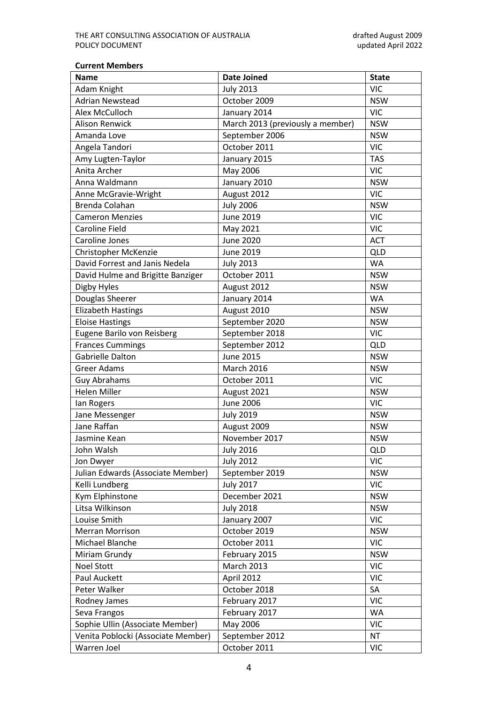#### **Current Members**

| <b>Name</b>                        | <b>Date Joined</b>               | <b>State</b> |
|------------------------------------|----------------------------------|--------------|
| Adam Knight                        | <b>July 2013</b>                 | <b>VIC</b>   |
| <b>Adrian Newstead</b>             | October 2009                     | <b>NSW</b>   |
| Alex McCulloch                     | January 2014                     | <b>VIC</b>   |
| <b>Alison Renwick</b>              | March 2013 (previously a member) | <b>NSW</b>   |
| Amanda Love                        | September 2006                   | <b>NSW</b>   |
| Angela Tandori                     | October 2011                     | <b>VIC</b>   |
| Amy Lugten-Taylor                  | January 2015                     | <b>TAS</b>   |
| Anita Archer                       | May 2006                         | <b>VIC</b>   |
| Anna Waldmann                      | January 2010                     | <b>NSW</b>   |
| Anne McGravie-Wright               | August 2012                      | <b>VIC</b>   |
| Brenda Colahan                     | <b>July 2006</b>                 | <b>NSW</b>   |
| <b>Cameron Menzies</b>             | <b>June 2019</b>                 | <b>VIC</b>   |
| <b>Caroline Field</b>              | May 2021                         | <b>VIC</b>   |
| Caroline Jones                     | <b>June 2020</b>                 | <b>ACT</b>   |
| Christopher McKenzie               | June 2019                        | <b>QLD</b>   |
| David Forrest and Janis Nedela     | <b>July 2013</b>                 | <b>WA</b>    |
| David Hulme and Brigitte Banziger  | October 2011                     | <b>NSW</b>   |
| Digby Hyles                        | August 2012                      | <b>NSW</b>   |
| Douglas Sheerer                    | January 2014                     | <b>WA</b>    |
| <b>Elizabeth Hastings</b>          | August 2010                      | <b>NSW</b>   |
| <b>Eloise Hastings</b>             | September 2020                   | <b>NSW</b>   |
| Eugene Barilo von Reisberg         | September 2018                   | <b>VIC</b>   |
| <b>Frances Cummings</b>            | September 2012                   | QLD          |
| Gabrielle Dalton                   | <b>June 2015</b>                 | <b>NSW</b>   |
| <b>Greer Adams</b>                 | <b>March 2016</b>                | <b>NSW</b>   |
| <b>Guy Abrahams</b>                | October 2011                     | <b>VIC</b>   |
| <b>Helen Miller</b>                | August 2021                      | <b>NSW</b>   |
| lan Rogers                         | <b>June 2006</b>                 | <b>VIC</b>   |
| Jane Messenger                     | <b>July 2019</b>                 | <b>NSW</b>   |
| Jane Raffan                        | August 2009                      | <b>NSW</b>   |
| Jasmine Kean                       | November 2017                    | <b>NSW</b>   |
| John Walsh                         | <b>July 2016</b>                 | <b>QLD</b>   |
| Jon Dwyer                          | <b>July 2012</b>                 | <b>VIC</b>   |
| Julian Edwards (Associate Member)  | September 2019                   | <b>NSW</b>   |
| Kelli Lundberg                     | <b>July 2017</b>                 | <b>VIC</b>   |
| Kym Elphinstone                    | December 2021                    | <b>NSW</b>   |
| Litsa Wilkinson                    | <b>July 2018</b>                 | <b>NSW</b>   |
| Louise Smith                       | January 2007                     | <b>VIC</b>   |
| <b>Merran Morrison</b>             | October 2019                     | <b>NSW</b>   |
| Michael Blanche                    | October 2011                     | <b>VIC</b>   |
| Miriam Grundy                      | February 2015                    | <b>NSW</b>   |
| <b>Noel Stott</b>                  | <b>March 2013</b>                | <b>VIC</b>   |
| Paul Auckett                       | April 2012                       | <b>VIC</b>   |
| Peter Walker                       | October 2018                     | SA           |
| Rodney James                       | February 2017                    | <b>VIC</b>   |
| Seva Frangos                       | February 2017                    | WA           |
| Sophie Ullin (Associate Member)    | May 2006                         | <b>VIC</b>   |
| Venita Poblocki (Associate Member) | September 2012                   | <b>NT</b>    |
| Warren Joel                        | October 2011                     | <b>VIC</b>   |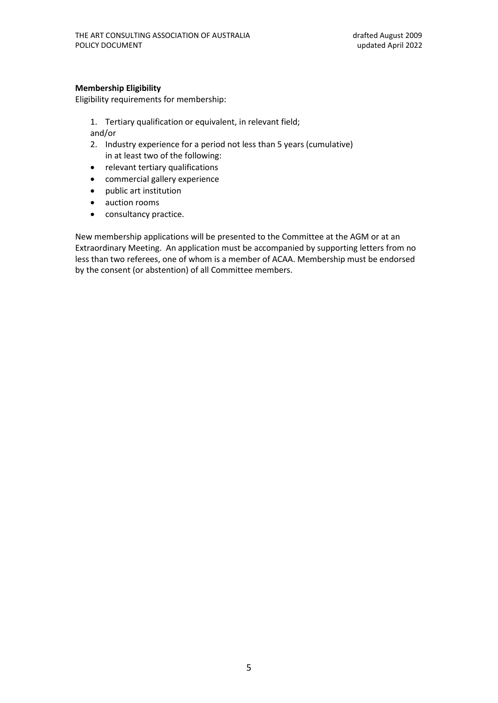# **Membership Eligibility**

Eligibility requirements for membership:

- 1. Tertiary qualification or equivalent, in relevant field; and/or
- 2. Industry experience for a period not less than 5 years (cumulative) in at least two of the following:
- relevant tertiary qualifications
- commercial gallery experience
- public art institution
- auction rooms
- consultancy practice.

New membership applications will be presented to the Committee at the AGM or at an Extraordinary Meeting. An application must be accompanied by supporting letters from no less than two referees, one of whom is a member of ACAA. Membership must be endorsed by the consent (or abstention) of all Committee members.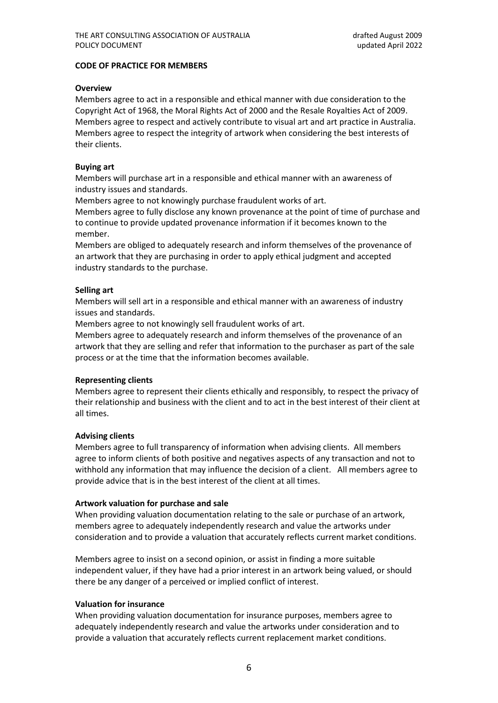# **CODE OF PRACTICE FOR MEMBERS**

# **Overview**

Members agree to act in a responsible and ethical manner with due consideration to the Copyright Act of 1968, the Moral Rights Act of 2000 and the Resale Royalties Act of 2009. Members agree to respect and actively contribute to visual art and art practice in Australia. Members agree to respect the integrity of artwork when considering the best interests of their clients.

# **Buying art**

Members will purchase art in a responsible and ethical manner with an awareness of industry issues and standards.

Members agree to not knowingly purchase fraudulent works of art.

Members agree to fully disclose any known provenance at the point of time of purchase and to continue to provide updated provenance information if it becomes known to the member.

Members are obliged to adequately research and inform themselves of the provenance of an artwork that they are purchasing in order to apply ethical judgment and accepted industry standards to the purchase.

# **Selling art**

Members will sell art in a responsible and ethical manner with an awareness of industry issues and standards.

Members agree to not knowingly sell fraudulent works of art.

Members agree to adequately research and inform themselves of the provenance of an artwork that they are selling and refer that information to the purchaser as part of the sale process or at the time that the information becomes available.

# **Representing clients**

Members agree to represent their clients ethically and responsibly, to respect the privacy of their relationship and business with the client and to act in the best interest of their client at all times.

# **Advising clients**

Members agree to full transparency of information when advising clients. All members agree to inform clients of both positive and negatives aspects of any transaction and not to withhold any information that may influence the decision of a client. All members agree to provide advice that is in the best interest of the client at all times.

# **Artwork valuation for purchase and sale**

When providing valuation documentation relating to the sale or purchase of an artwork, members agree to adequately independently research and value the artworks under consideration and to provide a valuation that accurately reflects current market conditions.

Members agree to insist on a second opinion, or assist in finding a more suitable independent valuer, if they have had a prior interest in an artwork being valued, or should there be any danger of a perceived or implied conflict of interest.

# **Valuation for insurance**

When providing valuation documentation for insurance purposes, members agree to adequately independently research and value the artworks under consideration and to provide a valuation that accurately reflects current replacement market conditions.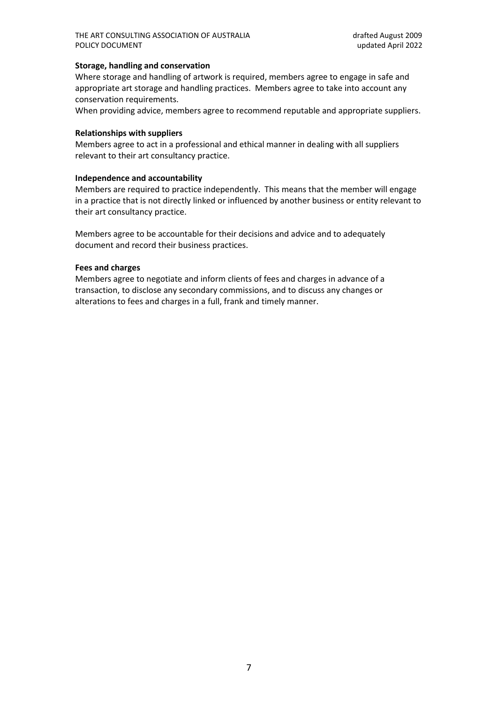# **Storage, handling and conservation**

Where storage and handling of artwork is required, members agree to engage in safe and appropriate art storage and handling practices. Members agree to take into account any conservation requirements.

When providing advice, members agree to recommend reputable and appropriate suppliers.

#### **Relationships with suppliers**

Members agree to act in a professional and ethical manner in dealing with all suppliers relevant to their art consultancy practice.

# **Independence and accountability**

Members are required to practice independently. This means that the member will engage in a practice that is not directly linked or influenced by another business or entity relevant to their art consultancy practice.

Members agree to be accountable for their decisions and advice and to adequately document and record their business practices.

#### **Fees and charges**

Members agree to negotiate and inform clients of fees and charges in advance of a transaction, to disclose any secondary commissions, and to discuss any changes or alterations to fees and charges in a full, frank and timely manner.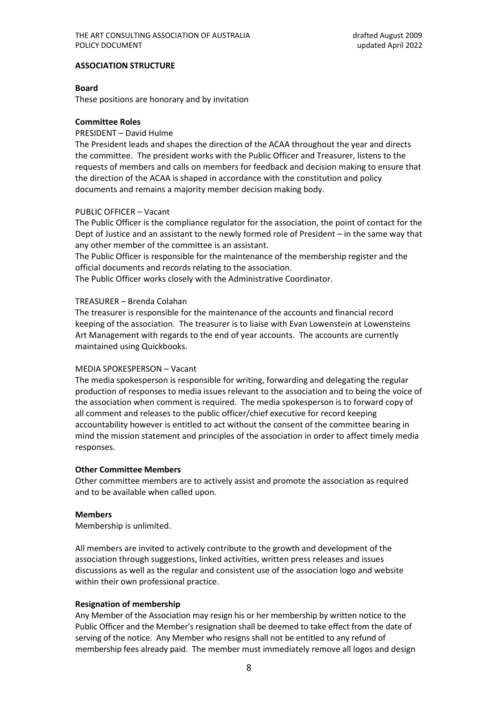#### **ASSOCIATION STRUCTURE**

#### **Board**

These positions are honorary and by invitation

#### **Committee Roles**

#### PRESIDENT – David Hulme

The President leads and shapes the direction of the ACAA throughout the year and directs the committee. The president works with the Public Officer and Treasurer, listens to the requests of members and calls on members for feedback and decision making to ensure that the direction of the ACAA is shaped in accordance with the constitution and policy documents and remains a majority member decision making body.

#### PUBLIC OFFICER – Vacant

The Public Officer is the compliance regulator for the association, the point of contact for the Dept of Justice and an assistant to the newly formed role of President – in the same way that any other member of the committee is an assistant.

The Public Officer is responsible for the maintenance of the membership register and the official documents and records relating to the association.

The Public Officer works closely with the Administrative Coordinator.

#### TREASURER – Brenda Colahan

The treasurer is responsible for the maintenance of the accounts and financial record keeping of the association. The treasurer is to liaise with Evan Lowenstein at Lowensteins Art Management with regards to the end of year accounts. The accounts are currently maintained using Quickbooks.

# MEDIA SPOKESPERSON – Vacant

The media spokesperson is responsible for writing, forwarding and delegating the regular production of responses to media issues relevant to the association and to being the voice of the association when comment is required. The media spokesperson is to forward copy of all comment and releases to the public officer/chief executive for record keeping accountability however is entitled to act without the consent of the committee bearing in mind the mission statement and principles of the association in order to affect timely media responses.

# **Other Committee Members**

Other committee members are to actively assist and promote the association as required and to be available when called upon.

# **Members**

Membership is unlimited.

All members are invited to actively contribute to the growth and development of the association through suggestions, linked activities, written press releases and issues discussions as well as the regular and consistent use of the association logo and website within their own professional practice.

# **Resignation of membership**

Any Member of the Association may resign his or her membership by written notice to the Public Officer and the Member's resignation shall be deemed to take effect from the date of serving of the notice. Any Member who resigns shall not be entitled to any refund of membership fees already paid. The member must immediately remove all logos and design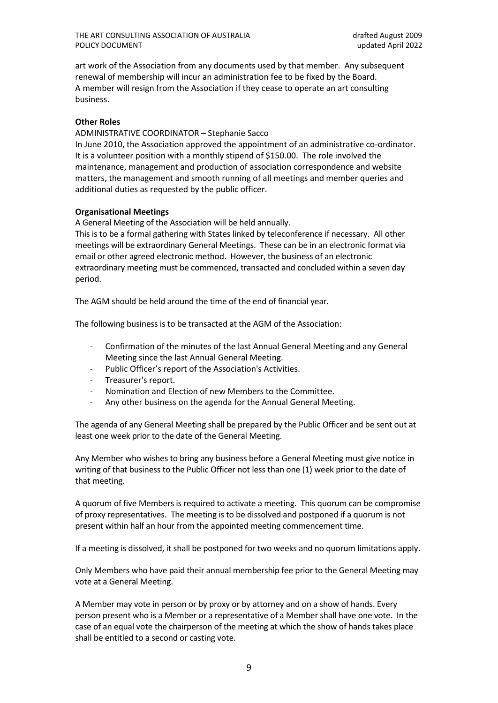art work of the Association from any documents used by that member. Any subsequent renewal of membership will incur an administration fee to be fixed by the Board. A member will resign from the Association if they cease to operate an art consulting business.

# **Other Roles**

ADMINISTRATIVE COORDINATOR **–** Stephanie Sacco

In June 2010, the Association approved the appointment of an administrative co-ordinator. It is a volunteer position with a monthly stipend of \$150.00. The role involved the maintenance, management and production of association correspondence and website matters, the management and smooth running of all meetings and member queries and additional duties as requested by the public officer.

# **Organisational Meetings**

A General Meeting of the Association will be held annually.

This is to be a formal gathering with States linked by teleconference if necessary. All other meetings will be extraordinary General Meetings. These can be in an electronic format via email or other agreed electronic method. However, the business of an electronic extraordinary meeting must be commenced, transacted and concluded within a seven day period.

The AGM should be held around the time of the end of financial year.

The following business is to be transacted at the AGM of the Association:

- Confirmation of the minutes of the last Annual General Meeting and any General Meeting since the last Annual General Meeting.
- Public Officer's report of the Association's Activities.
- Treasurer's report.
- Nomination and Election of new Members to the Committee.
- Any other business on the agenda for the Annual General Meeting.

The agenda of any General Meeting shall be prepared by the Public Officer and be sent out at least one week prior to the date of the General Meeting.

Any Member who wishes to bring any business before a General Meeting must give notice in writing of that business to the Public Officer not less than one (1) week prior to the date of that meeting.

A quorum of five Members is required to activate a meeting. This quorum can be compromise of proxy representatives. The meeting is to be dissolved and postponed if a quorum is not present within half an hour from the appointed meeting commencement time.

If a meeting is dissolved, it shall be postponed for two weeks and no quorum limitations appIy.

Only Members who have paid their annual membership fee prior to the General Meeting may vote at a General Meeting.

A Member may vote in person or by proxy or by attorney and on a show of hands. Every person present who is a Member or a representative of a Member shall have one vote. In the case of an equal vote the chairperson of the meeting at which the show of hands takes place shall be entitled to a second or casting vote.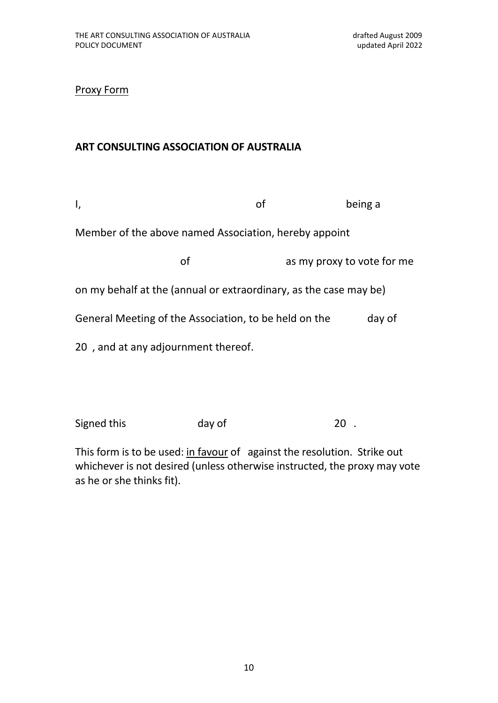Proxy Form

# **ART CONSULTING ASSOCIATION OF AUSTRALIA**

| ۱,                                                                | of |  | being a                    |  |  |
|-------------------------------------------------------------------|----|--|----------------------------|--|--|
| Member of the above named Association, hereby appoint             |    |  |                            |  |  |
| of                                                                |    |  | as my proxy to vote for me |  |  |
| on my behalf at the (annual or extraordinary, as the case may be) |    |  |                            |  |  |
| General Meeting of the Association, to be held on the             |    |  | day of                     |  |  |
| 20, and at any adjournment thereof.                               |    |  |                            |  |  |
|                                                                   |    |  |                            |  |  |
|                                                                   |    |  |                            |  |  |

Signed this day of 20.

This form is to be used: in favour of against the resolution. Strike out whichever is not desired (unless otherwise instructed, the proxy may vote as he or she thinks fit).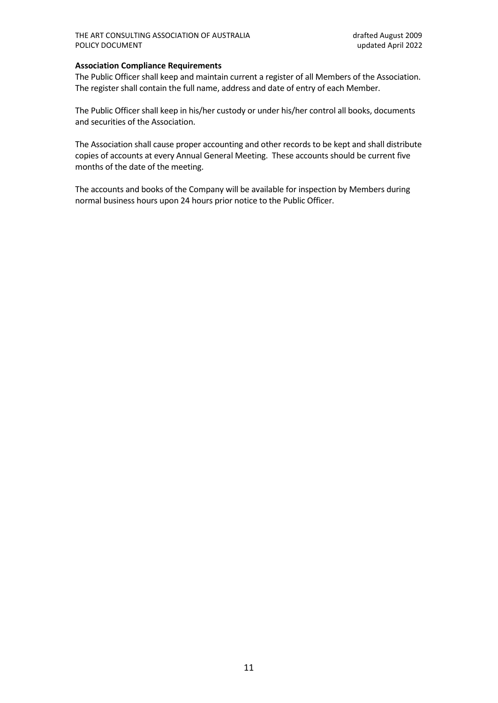# **Association Compliance Requirements**

The Public Officer shall keep and maintain current a register of all Members of the Association. The register shall contain the full name, address and date of entry of each Member.

The Public Officer shall keep in his/her custody or under his/her control all books, documents and securities of the Association.

The Association shall cause proper accounting and other records to be kept and shall distribute copies of accounts at every Annual General Meeting. These accounts should be current five months of the date of the meeting.

The accounts and books of the Company will be available for inspection by Members during normal business hours upon 24 hours prior notice to the Public Officer.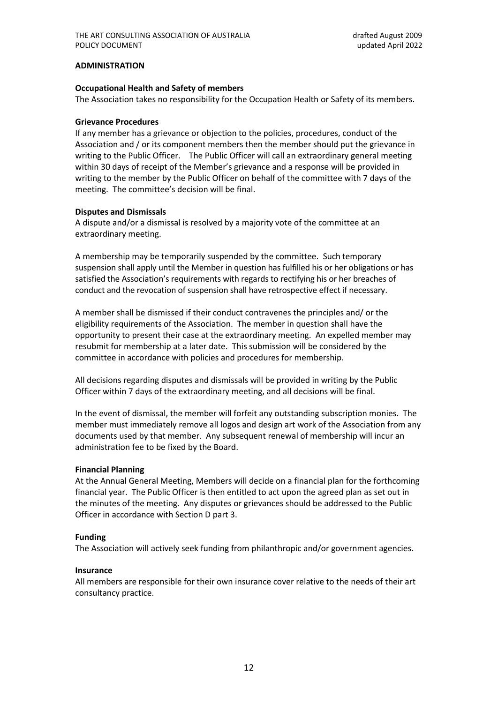#### **ADMINISTRATION**

#### **Occupational Health and Safety of members**

The Association takes no responsibility for the Occupation Health or Safety of its members.

#### **Grievance Procedures**

If any member has a grievance or objection to the policies, procedures, conduct of the Association and / or its component members then the member should put the grievance in writing to the Public Officer. The Public Officer will call an extraordinary general meeting within 30 days of receipt of the Member's grievance and a response will be provided in writing to the member by the Public Officer on behalf of the committee with 7 days of the meeting. The committee's decision will be final.

#### **Disputes and Dismissals**

A dispute and/or a dismissal is resolved by a majority vote of the committee at an extraordinary meeting.

A membership may be temporarily suspended by the committee. Such temporary suspension shall apply until the Member in question has fulfilled his or her obligations or has satisfied the Association's requirements with regards to rectifying his or her breaches of conduct and the revocation of suspension shall have retrospective effect if necessary.

A member shall be dismissed if their conduct contravenes the principles and/ or the eligibility requirements of the Association. The member in question shall have the opportunity to present their case at the extraordinary meeting. An expelled member may resubmit for membership at a later date. This submission will be considered by the committee in accordance with policies and procedures for membership.

All decisions regarding disputes and dismissals will be provided in writing by the Public Officer within 7 days of the extraordinary meeting, and all decisions will be final.

In the event of dismissal, the member will forfeit any outstanding subscription monies. The member must immediately remove all logos and design art work of the Association from any documents used by that member. Any subsequent renewal of membership will incur an administration fee to be fixed by the Board.

# **Financial Planning**

At the Annual General Meeting, Members will decide on a financial plan for the forthcoming financial year. The Public Officer is then entitled to act upon the agreed plan as set out in the minutes of the meeting. Any disputes or grievances should be addressed to the Public Officer in accordance with Section D part 3.

# **Funding**

The Association will actively seek funding from philanthropic and/or government agencies.

# **Insurance**

All members are responsible for their own insurance cover relative to the needs of their art consultancy practice.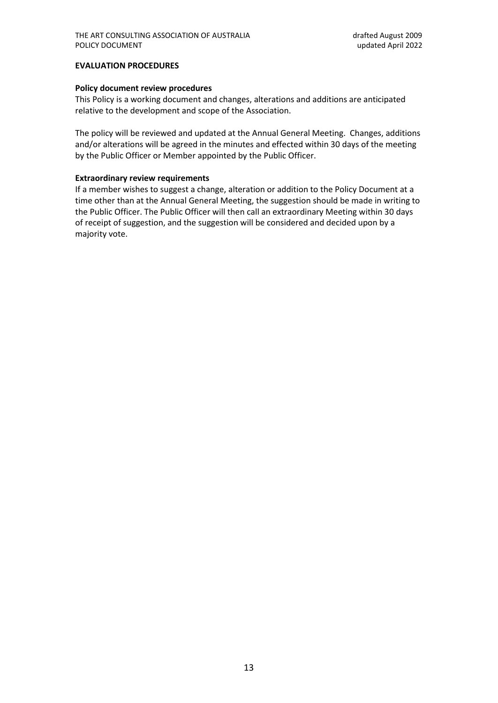# **EVALUATION PROCEDURES**

# **Policy document review procedures**

This Policy is a working document and changes, alterations and additions are anticipated relative to the development and scope of the Association.

The policy will be reviewed and updated at the Annual General Meeting. Changes, additions and/or alterations will be agreed in the minutes and effected within 30 days of the meeting by the Public Officer or Member appointed by the Public Officer.

# **Extraordinary review requirements**

If a member wishes to suggest a change, alteration or addition to the Policy Document at a time other than at the Annual General Meeting, the suggestion should be made in writing to the Public Officer. The Public Officer will then call an extraordinary Meeting within 30 days of receipt of suggestion, and the suggestion will be considered and decided upon by a majority vote.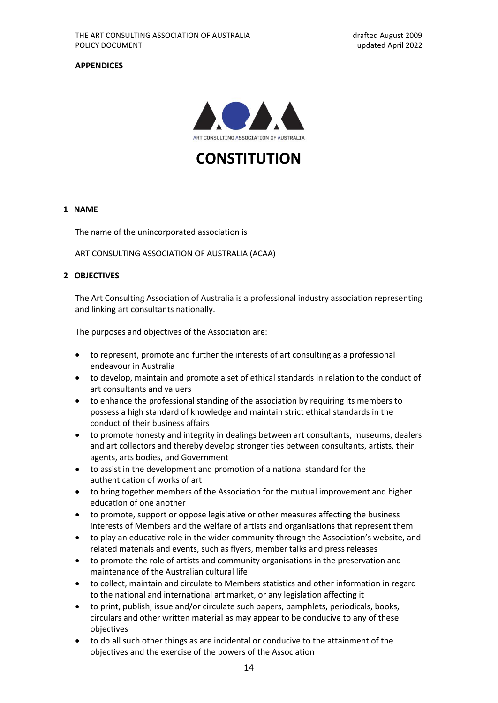# **APPENDICES**



**CONSTITUTION**

# **1 NAME**

The name of the unincorporated association is

ART CONSULTING ASSOCIATION OF AUSTRALIA (ACAA)

#### **2 OBJECTIVES**

The Art Consulting Association of Australia is a professional industry association representing and linking art consultants nationally.

The purposes and objectives of the Association are:

- to represent, promote and further the interests of art consulting as a professional endeavour in Australia
- to develop, maintain and promote a set of ethical standards in relation to the conduct of art consultants and valuers
- to enhance the professional standing of the association by requiring its members to possess a high standard of knowledge and maintain strict ethical standards in the conduct of their business affairs
- to promote honesty and integrity in dealings between art consultants, museums, dealers and art collectors and thereby develop stronger ties between consultants, artists, their agents, arts bodies, and Government
- to assist in the development and promotion of a national standard for the authentication of works of art
- to bring together members of the Association for the mutual improvement and higher education of one another
- to promote, support or oppose legislative or other measures affecting the business interests of Members and the welfare of artists and organisations that represent them
- to play an educative role in the wider community through the Association's website, and related materials and events, such as flyers, member talks and press releases
- to promote the role of artists and community organisations in the preservation and maintenance of the Australian cultural life
- to collect, maintain and circulate to Members statistics and other information in regard to the national and international art market, or any legislation affecting it
- to print, publish, issue and/or circulate such papers, pamphlets, periodicals, books, circulars and other written material as may appear to be conducive to any of these objectives
- to do all such other things as are incidental or conducive to the attainment of the objectives and the exercise of the powers of the Association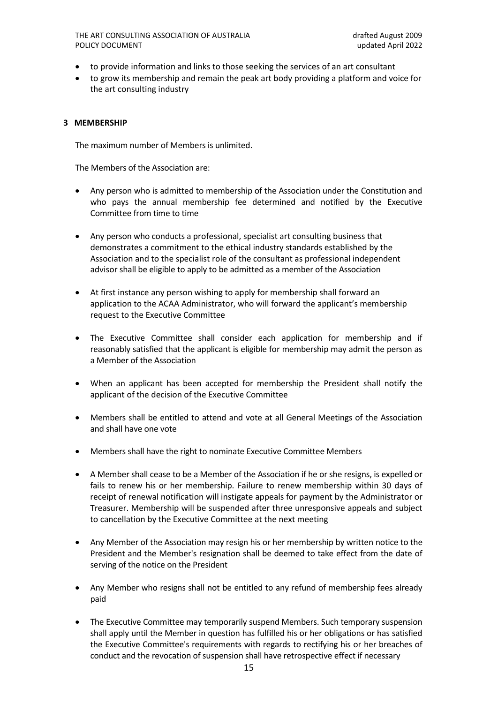THE ART CONSULTING ASSOCIATION OF AUSTRALIA drafted August 2009 POLICY DOCUMENT NOTIFIED A RESERVE TO A RESERVE THE MODEL OF A RESERVE TO A RESERVE THE MODEL OF A RESERVE TO A RESERVE THE MODEL OF A RESERVE TO A RESERVE THAT A RESERVE THAT A RESERVE THAT A RESERVE THAT A RESERVE THAT A

- to provide information and links to those seeking the services of an art consultant
- to grow its membership and remain the peak art body providing a platform and voice for the art consulting industry

# **3 MEMBERSHIP**

The maximum number of Members is unlimited.

The Members of the Association are:

- Any person who is admitted to membership of the Association under the Constitution and who pays the annual membership fee determined and notified by the Executive Committee from time to time
- Any person who conducts a professional, specialist art consulting business that demonstrates a commitment to the ethical industry standards established by the Association and to the specialist role of the consultant as professional independent advisor shall be eligible to apply to be admitted as a member of the Association
- At first instance any person wishing to apply for membership shall forward an application to the ACAA Administrator, who will forward the applicant's membership request to the Executive Committee
- The Executive Committee shall consider each application for membership and if reasonably satisfied that the applicant is eligible for membership may admit the person as a Member of the Association
- When an applicant has been accepted for membership the President shall notify the applicant of the decision of the Executive Committee
- Members shall be entitled to attend and vote at all General Meetings of the Association and shall have one vote
- Members shall have the right to nominate Executive Committee Members
- A Member shall cease to be a Member of the Association if he or she resigns, is expelled or fails to renew his or her membership. Failure to renew membership within 30 days of receipt of renewal notification will instigate appeals for payment by the Administrator or Treasurer. Membership will be suspended after three unresponsive appeals and subject to cancellation by the Executive Committee at the next meeting
- Any Member of the Association may resign his or her membership by written notice to the President and the Member's resignation shall be deemed to take effect from the date of serving of the notice on the President
- Any Member who resigns shall not be entitled to any refund of membership fees already paid
- The Executive Committee may temporarily suspend Members. Such temporary suspension shall apply until the Member in question has fulfilled his or her obligations or has satisfied the Executive Committee's requirements with regards to rectifying his or her breaches of conduct and the revocation of suspension shall have retrospective effect if necessary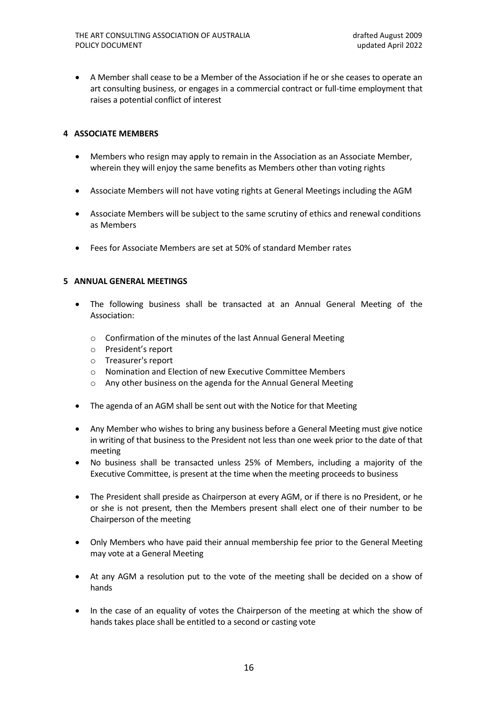• A Member shall cease to be a Member of the Association if he or she ceases to operate an art consulting business, or engages in a commercial contract or full-time employment that raises a potential conflict of interest

# **4 ASSOCIATE MEMBERS**

- Members who resign may apply to remain in the Association as an Associate Member, wherein they will enjoy the same benefits as Members other than voting rights
- Associate Members will not have voting rights at General Meetings including the AGM
- Associate Members will be subject to the same scrutiny of ethics and renewal conditions as Members
- Fees for Associate Members are set at 50% of standard Member rates

# **5 ANNUAL GENERAL MEETINGS**

- The following business shall be transacted at an Annual General Meeting of the Association:
	- o Confirmation of the minutes of the last Annual General Meeting
	- o President's report
	- o Treasurer's report
	- o Nomination and Election of new Executive Committee Members
	- o Any other business on the agenda for the Annual General Meeting
- The agenda of an AGM shall be sent out with the Notice for that Meeting
- Any Member who wishes to bring any business before a General Meeting must give notice in writing of that business to the President not less than one week prior to the date of that meeting
- No business shall be transacted unless 25% of Members, including a majority of the Executive Committee, is present at the time when the meeting proceeds to business
- The President shall preside as Chairperson at every AGM, or if there is no President, or he or she is not present, then the Members present shall elect one of their number to be Chairperson of the meeting
- Only Members who have paid their annual membership fee prior to the General Meeting may vote at a General Meeting
- At any AGM a resolution put to the vote of the meeting shall be decided on a show of hands
- In the case of an equality of votes the Chairperson of the meeting at which the show of hands takes place shall be entitled to a second or casting vote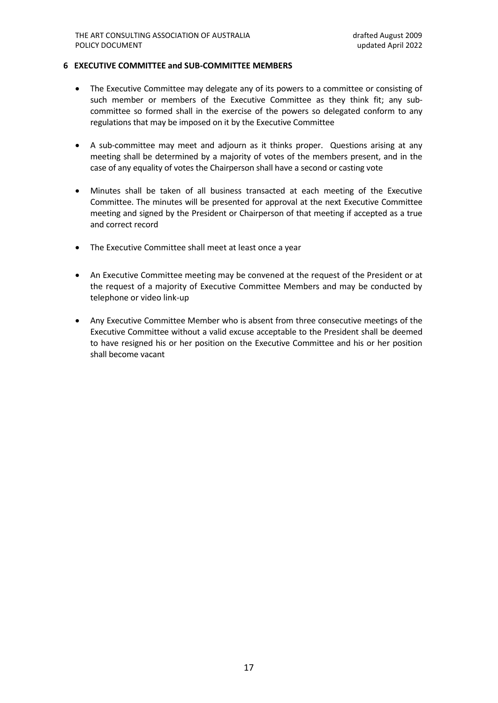#### **6 EXECUTIVE COMMITTEE and SUB-COMMITTEE MEMBERS**

- The Executive Committee may delegate any of its powers to a committee or consisting of such member or members of the Executive Committee as they think fit; any subcommittee so formed shall in the exercise of the powers so delegated conform to any regulations that may be imposed on it by the Executive Committee
- A sub-committee may meet and adjourn as it thinks proper. Questions arising at any meeting shall be determined by a majority of votes of the members present, and in the case of any equality of votes the Chairperson shall have a second or casting vote
- Minutes shall be taken of all business transacted at each meeting of the Executive Committee. The minutes will be presented for approval at the next Executive Committee meeting and signed by the President or Chairperson of that meeting if accepted as a true and correct record
- The Executive Committee shall meet at least once a year
- An Executive Committee meeting may be convened at the request of the President or at the request of a majority of Executive Committee Members and may be conducted by telephone or video link-up
- Any Executive Committee Member who is absent from three consecutive meetings of the Executive Committee without a valid excuse acceptable to the President shall be deemed to have resigned his or her position on the Executive Committee and his or her position shall become vacant